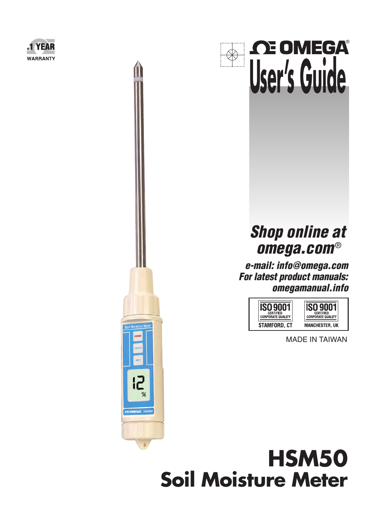



## **Shop online at omega.com**®

®

**e-mail: info@omega.com For latest product manuals: omegamanual.info**



MADE IN TAIWAN



Soil Moisture Meter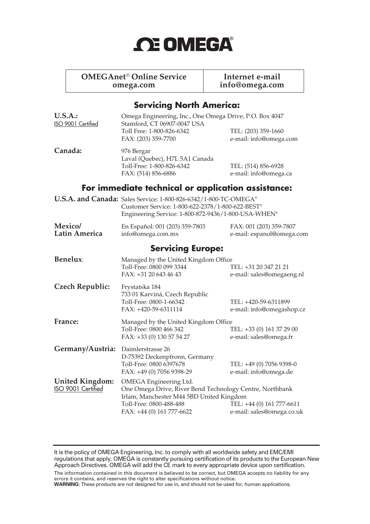# **OE OMEGA®**

## **OMEGAnet<sup>®</sup> Online Service later and Internet e-mail<br>info@omega.com info@omega.com**

**omega.com info@omega.com**

#### **Servicing North America:**

| U.S.A.:<br>ISO 9001 Certified                | Omega Engineering, Inc., One Omega Drive, P.O. Box 4047<br>Stamford, CT 06907-0047 USA<br>Toll Free: 1-800-826-6342<br>FAX: (203) 359-7700                                             | TEL: (203) 359-1660<br>e-mail: info@omega.com          |  |  |
|----------------------------------------------|----------------------------------------------------------------------------------------------------------------------------------------------------------------------------------------|--------------------------------------------------------|--|--|
| Canada:                                      | 976 Bergar<br>Laval (Quebec), H7L 5A1 Canada<br>Toll-Free: 1-800-826-6342<br>FAX: (514) 856-6886                                                                                       | TEL: (514) 856-6928<br>e-mail: info@omega.ca           |  |  |
|                                              | For immediate technical or application assistance:                                                                                                                                     |                                                        |  |  |
|                                              | U.S.A. and Canada: Sales Service: 1-800-826-6342/1-800-TC-OMEGA®<br>Customer Service: 1-800-622-2378/1-800-622-BEST®<br>Engineering Service: 1-800-872-9436/1-800-USA-WHEN®            |                                                        |  |  |
| Mexico/<br>Latin America                     | En Español: 001 (203) 359-7803<br>info@omega.com.mx                                                                                                                                    | FAX: 001 (203) 359-7807<br>e-mail: espanol@omega.com   |  |  |
| <b>Servicing Europe:</b>                     |                                                                                                                                                                                        |                                                        |  |  |
| Benelux:                                     | Managed by the United Kingdom Office<br>Toll-Free: 0800 099 3344<br>FAX: +31 20 643 46 43                                                                                              | TEL: +31 20 347 21 21<br>e-mail: sales@omegaeng.nl     |  |  |
| <b>Czech Republic:</b>                       | Frystatska 184<br>733 01 Karviná, Czech Republic<br>Toll-Free: 0800-1-66342<br>FAX: +420-59-6311114                                                                                    | TEL: +420-59-6311899<br>e-mail: info@omegashop.cz      |  |  |
| France:                                      | Managed by the United Kingdom Office<br>Toll-Free: 0800 466 342<br>FAX: +33 (0) 130 57 54 27                                                                                           | TEL: +33 (0) 161 37 29 00<br>e-mail: sales@omega.fr    |  |  |
| Germany/Austria:                             | Daimlerstrasse 26<br>D-75392 Deckenpfronn, Germany<br>Toll-Free: 0800 6397678<br>FAX: +49 (0) 7056 9398-29                                                                             | TEL: +49 (0) 7056 9398-0<br>e-mail: info@omega.de      |  |  |
| <b>United Kingdom:</b><br>ISO 9001 Certified | OMEGA Engineering Ltd.<br>One Omega Drive, River Bend Technology Centre, Northbank<br>Irlam, Manchester M44 5BD United Kingdom<br>Toll-Free: 0800-488-488<br>FAX: +44 (0) 161 777-6622 | TEL: +44 (0) 161 777-6611<br>e-mail: sales@omega.co.uk |  |  |

It is the policy of OMEGA Engineering, Inc. to comply with all worldwide safety and EMC/EMI regulations that apply. OMEGA is constantly pursuing certification of its products to the European New Approach Directives. OMEGA will add the CE mark to every appropriate device upon certification. The information contained in this document is believed to be correct, but OMEGA accepts no liability for any errors it contains, and reserves the right to alter specifications without notice.

**WARNING:** These products are not designed for use in, and should not be used for, human applications.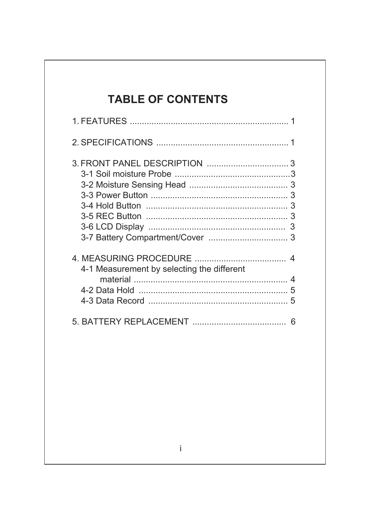### **TABLE OF CONTENTS**

| 3                                          |  |
|--------------------------------------------|--|
| 4-1 Measurement by selecting the different |  |
| 5<br>6                                     |  |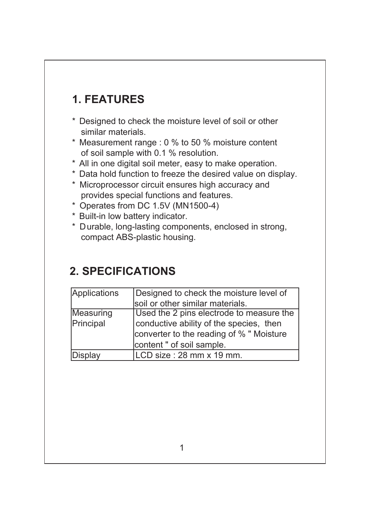## **1. FEATURES**

- \* Designed to check the moisture level of soil or other similar materials.
- \* Measurement range : 0 % to 50 % moisture content of soil sample with 0.1 % resolution.
- \* All in one digital soil meter, easy to make operation.
- \* Data hold function to freeze the desired value on display.
- \* Microprocessor circuit ensures high accuracy and provides special functions and features.
- \* Operates from DC 1.5V (MN1500-4)
- \* Built-in low battery indicator.
- \* Durable, long-lasting components, enclosed in strong, compact ABS-plastic housing.

## **2. SPECIFICATIONS**

| Applications | Designed to check the moisture level of  |  |
|--------------|------------------------------------------|--|
|              | soil or other similar materials.         |  |
| Measuring    | Used the 2 pins electrode to measure the |  |
| Principal    | conductive ability of the species, then  |  |
|              | converter to the reading of % " Moisture |  |
|              | content " of soil sample.                |  |
| Display      | LCD size: 28 mm x 19 mm.                 |  |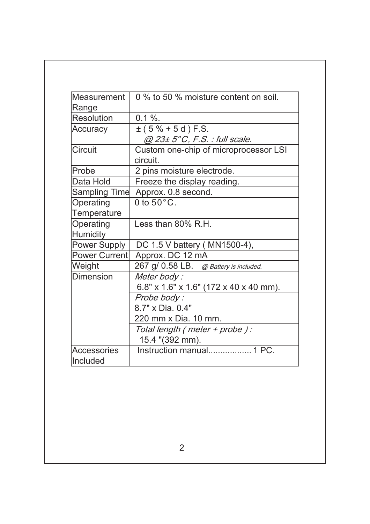| Measurement          | 0 % to 50 % moisture content on soil.  |  |
|----------------------|----------------------------------------|--|
| Range                |                                        |  |
| <b>Resolution</b>    | $0.1 \%$ .                             |  |
| Accuracy             | $\pm$ (5% + 5d) F.S.                   |  |
|                      | $@$ 23± 5°C, F.S. : full scale.        |  |
| Circuit              | Custom one-chip of microprocessor LSI  |  |
|                      | circuit.                               |  |
| Probe                | 2 pins moisture electrode.             |  |
| Data Hold            | Freeze the display reading.            |  |
| <b>Sampling Time</b> | Approx. 0.8 second.                    |  |
| Operating            | 0 to $50^{\circ}$ C.                   |  |
| Temperature          |                                        |  |
| Operating            | Less than 80% R.H.                     |  |
| <b>Humidity</b>      |                                        |  |
| <b>Power Supply</b>  | DC 1.5 V battery (MN1500-4),           |  |
| <b>Power Current</b> | Approx. DC 12 mA                       |  |
| Weight               | 267 g/ 0.58 LB. @ Battery is included. |  |
| <b>Dimension</b>     | Meter body:                            |  |
|                      | 6.8" x 1.6" x 1.6" (172 x 40 x 40 mm). |  |
|                      | Probe body:                            |  |
|                      | 8.7" x Dia. 0.4"                       |  |
|                      | 220 mm x Dia. 10 mm.                   |  |
|                      | Total length ( meter + probe ) :       |  |
|                      | 15.4 "(392 mm).                        |  |
| <b>Accessories</b>   | Instruction manual 1 PC.               |  |
| Included             |                                        |  |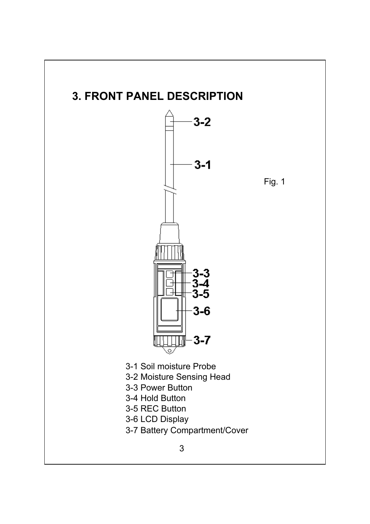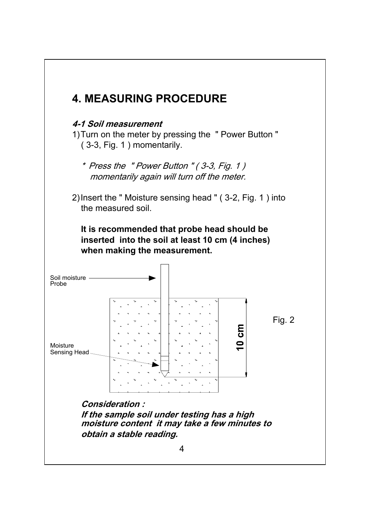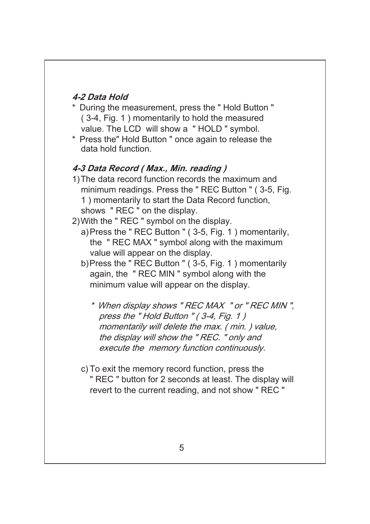#### **4-2 Data Hold**

- \* During the measurement, press the " Hold Button " ( 3-4, Fig. 1 ) momentarily to hold the measured value. The LCD will show a " HOLD " symbol.
- \* Press the" Hold Button " once again to release the data hold function.

#### **4-3 Data Record ( Max., Min. reading )**

- 1)The data record function records the maximum and minimum readings. Press the " REC Button " ( 3-5, Fig. 1 ) momentarily to start the Data Record function, shows " REC " on the display.
- 2)With the " REC " symbol on the display.
	- a)Press the " REC Button " ( 3-5, Fig. 1 ) momentarily, the " REC MAX " symbol along with the maximum value will appear on the display.
	- b)Press the " REC Button " ( 3-5, Fig. 1 ) momentarily again, the " REC MIN " symbol along with the minimum value will appear on the display.
		- \* When display shows " REC MAX " or " REC MIN ", press the "Hold Button " (3-4, Fig. 1) momentarily will delete the max. ( min. ) value, the display will show the " REC. " only and execute the memory function continuously.
	- c) To exit the memory record function, press the " REC " button for 2 seconds at least. The display will revert to the current reading, and not show " REC "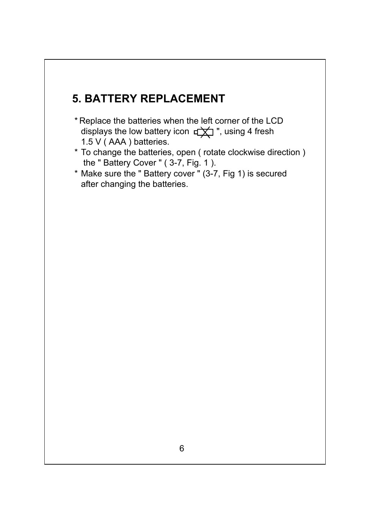### **5. BATTERY REPLACEMENT**

- \* Replace the batteries when the left corner of the LCD displays the low battery icon  $\pm \pm \rightarrow$  ", using 4 fresh 1.5 V ( AAA ) batteries.
- \* To change the batteries, open ( rotate clockwise direction ) the " Battery Cover " ( 3-7, Fig. 1 ).
- \* Make sure the " Battery cover " (3-7, Fig 1) is secured after changing the batteries.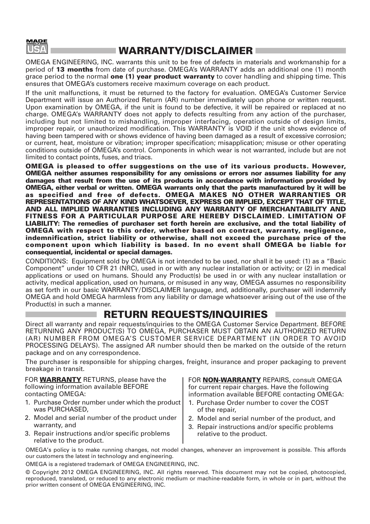

#### **WARRANTY/DISCLAIMER**

OMEGA ENGINEERING, INC. warrants this unit to be free of defects in materials and workmanship for a period of **13 months** from date of purchase. OMEGA's WARRANTY adds an additional one (1) month grace period to the normal **one (1) year product warranty** to cover handling and shipping time. This ensures that OMEGA's customers receive maximum coverage on each product.

If the unit malfunctions, it must be returned to the factory for evaluation. OMEGA's Customer Service Department will issue an Authorized Return (AR) number immediately upon phone or written request. Upon examination by OMEGA, if the unit is found to be defective, it will be repaired or replaced at no charge. OMEGA's WARRANTY does not apply to defects resulting from any action of the purchaser, including but not limited to mishandling, improper interfacing, operation outside of design limits, improper repair, or unauthorized modification. This WARRANTY is VOID if the unit shows evidence of having been tampered with or shows evidence of having been damaged as a result of excessive corrosion; or current, heat, moisture or vibration; improper specification; misapplication; misuse or other operating conditions outside of OMEGA's control. Components in which wear is not warranted, include but are not limited to contact points, fuses, and triacs.

**OMEGA is pleased to offer suggestions on the use of its various products. However, OMEGA neither assumes responsibility for any omissions or errors nor assumes liability for any damages that result from the use of its products in accordance with information provided by OMEGA, either verbal or written. OMEGA warrants only that the parts manufactured by it will be as specified and free of defects. OMEGA MAKES NO OTHER WARRANTIES OR REPRESENTATIONS OF ANY KIND WHATSOEVER, EXPRESS OR IMPLIED, EXCEPT THAT OF TITLE, AND ALL IMPLIED WARRANTIES INCLUDING ANY WARRANTY OF MERCHANTABILITY AND FITNESS FOR A PARTICULAR PURPOSE ARE HEREBY DISCLAIMED. LIMITATION OF LIABILITY: The remedies of purchaser set forth herein are exclusive, and the total liability of OMEGA with respect to this order, whether based on contract, warranty, negligence, indemnification, strict liability or otherwise, shall not exceed the purchase price of the component upon which liability is based. In no event shall OMEGA be liable for consequential, incidental or special damages.**

CONDITIONS: Equipment sold by OMEGA is not intended to be used, nor shall it be used: (1) as a "Basic Component" under 10 CFR 21 (NRC), used in or with any nuclear installation or activity; or (2) in medical applications or used on humans. Should any Product(s) be used in or with any nuclear installation or activity, medical application, used on humans, or misused in any way, OMEGA assumes no responsibility as set forth in our basic WARRANTY/ DISCLAIMER language, and, additionally, purchaser will indemnify OMEGA and hold OMEGA harmless from any liability or damage whatsoever arising out of the use of the Product(s) in such a manner.

#### **RETURN REQUESTS/INQUIRIES**

Direct all warranty and repair requests/inquiries to the OMEGA Customer Service Department. BEFORE RETURNING ANY PRODUCT(S) TO OMEGA, PURCHASER MUST OBTAIN AN AUTHORIZED RETURN (AR) NUMBER FROM OMEGA'S CUSTOMER SERVICE DEPARTMENT (IN ORDER TO AVOID PROCESSING DELAYS). The assigned AR number should then be marked on the outside of the return package and on any correspondence.

The purchaser is responsible for shipping charges, freight, insurance and proper packaging to prevent breakage in transit.

FOR **WARRANTY** RETURNS, please have the following information available BEFORE contacting OMEGA:

- 1. Purchase Order number under which the product was PURCHASED,
- 2. Model and serial number of the product under warranty, and
- 3. Repair instructions and/or specific problems relative to the product.

FOR **NON-WARRANTY** REPAIRS, consult OMEGA for current repair charges. Have the following information available BEFORE contacting OMEGA:

- 1. Purchase Order number to cover the COST of the repair,
- 2. Model and serial number of the product, and
- 3. Repair instructions and/or specific problems relative to the product.

OMEGA's policy is to make running changes, not model changes, whenever an improvement is possible. This affords our customers the latest in technology and engineering.

OMEGA is a registered trademark of OMEGA ENGINEERING, INC.

© Copyright 2012 OMEGA ENGINEERING, INC. All rights reserved. This document may not be copied, photocopied, reproduced, translated, or reduced to any electronic medium or machine-readable form, in whole or in part, without the prior written consent of OMEGA ENGINEERING, INC.